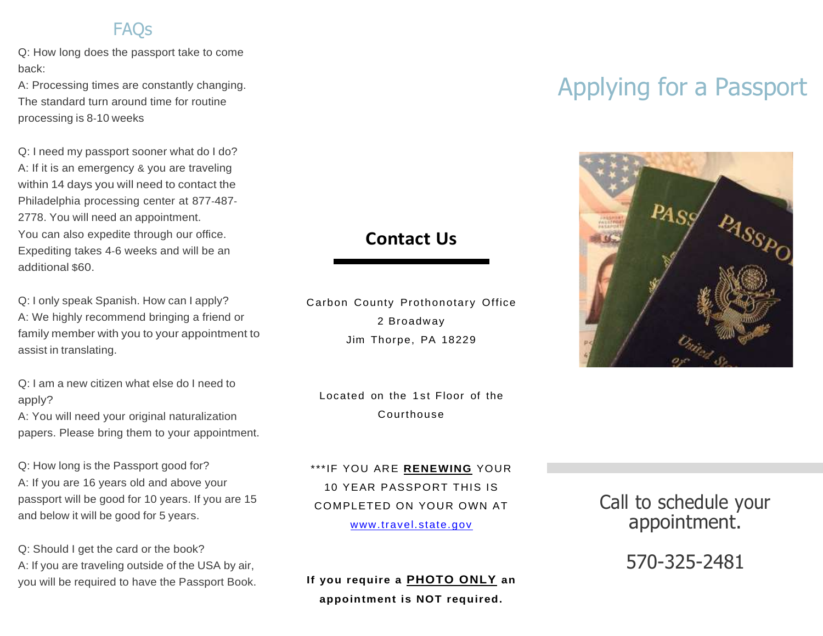#### **FAOs**

Q: How long does the passport take to come back:

A: Processing times are constantly changing. The standard turn around time for routine processing is 8-10 weeks

Q: I need my passport sooner what do I do? A: If it is an emergency & you are traveling within 14 days you will need to contact the Philadelphia processing center at 877-487- 2778. You will need an appointment. You can also expedite through our office. Expediting takes 4-6 weeks and will be an additional \$60.

Q: I only speak Spanish. How can I apply? A: We highly recommend bringing a friend or family member with you to your appointment to assist in translating.

Q: I am a new citizen what else do I need to apply?

A: You will need your original naturalization papers. Please bring them to your appointment.

Q: How long is the Passport good for? A: If you are 16 years old and above your passport will be good for 10 years. If you are 15 and below it will be good for 5 years.

Q: Should I get the card or the book? A: If you are traveling outside of the USA by air, you will be required to have the Passport Book.

#### **Contact Us**

Carbon County Prothonotary Office 2 Broadway Jim Thorpe, PA 18229

Located on the 1st Floor of the Courthouse

\*\*\*IF YOU ARE **RENEWING** YOUR 10 YEAR PASSPORT THIS IS COMPLETED ON YOUR OWN AT [www.travel.state.gov](http://www.travel.state.gov/)

**If you require a PHOTO ONLY an appointment is NOT required.** 

# Applying for a Passport



Call to schedule your appointment.

570-325-2481